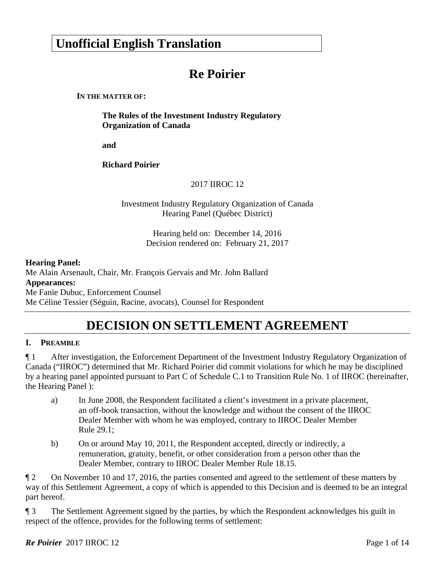# **Unofficial English Translation**

# **Re Poirier**

#### **IN THE MATTER OF:**

**The Rules of the Investment Industry Regulatory Organization of Canada** 

**and** 

**Richard Poirier** 

2017 IIROC 12

Investment Industry Regulatory Organization of Canada Hearing Panel (Québec District)

> Hearing held on: December 14, 2016 Decision rendered on: February 21, 2017

#### **Hearing Panel:**

Me Alain Arsenault, Chair, Mr. François Gervais and Mr. John Ballard **Appearances:**  Me Fanie Dubuc, Enforcement Counsel Me Céline Tessier (Séguin, Racine, avocats), Counsel for Respondent

# **DECISION ON SETTLEMENT AGREEMENT**

## **I. PREAMBLE**

¶ 1 After investigation, the Enforcement Department of the Investment Industry Regulatory Organization of Canada ("IIROC") determined that Mr. Richard Poirier did commit violations for which he may be disciplined by a hearing panel appointed pursuant to Part C of Schedule C.1 to Transition Rule No. 1 of IIROC (hereinafter, the Hearing Panel ):

- a) In June 2008, the Respondent facilitated a client's investment in a private placement, an off-book transaction, without the knowledge and without the consent of the IIROC Dealer Member with whom he was employed, contrary to IIROC Dealer Member Rule 29.1;
- b) On or around May 10, 2011, the Respondent accepted, directly or indirectly, a remuneration, gratuity, benefit, or other consideration from a person other than the Dealer Member, contrary to IIROC Dealer Member Rule 18.15.

¶ 2 On November 10 and 17, 2016, the parties consented and agreed to the settlement of these matters by way of this Settlement Agreement, a copy of which is appended to this Decision and is deemed to be an integral part hereof.

¶ 3 The Settlement Agreement signed by the parties, by which the Respondent acknowledges his guilt in respect of the offence, provides for the following terms of settlement: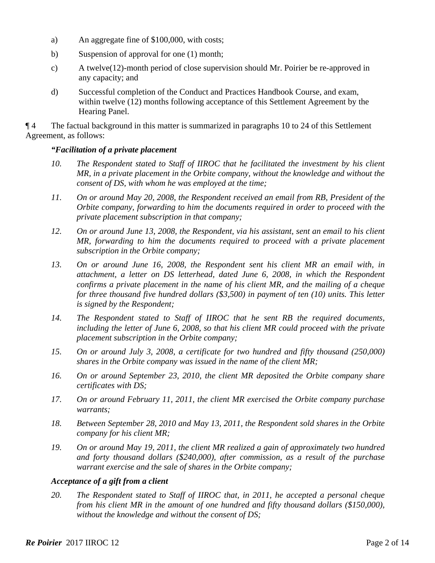- a) An aggregate fine of \$100,000, with costs;
- b) Suspension of approval for one (1) month;
- c) A twelve(12)-month period of close supervision should Mr. Poirier be re-approved in any capacity; and
- d) Successful completion of the Conduct and Practices Handbook Course, and exam, within twelve (12) months following acceptance of this Settlement Agreement by the Hearing Panel.

¶ 4 The factual background in this matter is summarized in paragraphs 10 to 24 of this Settlement Agreement, as follows:

### *"Facilitation of a private placement*

- *10. The Respondent stated to Staff of IIROC that he facilitated the investment by his client MR, in a private placement in the Orbite company, without the knowledge and without the consent of DS, with whom he was employed at the time;*
- *11. On or around May 20, 2008, the Respondent received an email from RB, President of the Orbite company, forwarding to him the documents required in order to proceed with the private placement subscription in that company;*
- *12. On or around June 13, 2008, the Respondent, via his assistant, sent an email to his client MR, forwarding to him the documents required to proceed with a private placement subscription in the Orbite company;*
- *13. On or around June 16, 2008, the Respondent sent his client MR an email with, in attachment, a letter on DS letterhead, dated June 6, 2008, in which the Respondent confirms a private placement in the name of his client MR, and the mailing of a cheque for three thousand five hundred dollars (\$3,500) in payment of ten (10) units. This letter is signed by the Respondent;*
- *14. The Respondent stated to Staff of IIROC that he sent RB the required documents, including the letter of June 6, 2008, so that his client MR could proceed with the private placement subscription in the Orbite company;*
- *15. On or around July 3, 2008, a certificate for two hundred and fifty thousand (250,000) shares in the Orbite company was issued in the name of the client MR;*
- *16. On or around September 23, 2010, the client MR deposited the Orbite company share certificates with DS;*
- *17. On or around February 11, 2011, the client MR exercised the Orbite company purchase warrants;*
- *18. Between September 28, 2010 and May 13, 2011, the Respondent sold shares in the Orbite company for his client MR;*
- *19. On or around May 19, 2011, the client MR realized a gain of approximately two hundred and forty thousand dollars (\$240,000), after commission, as a result of the purchase warrant exercise and the sale of shares in the Orbite company;*

#### *Acceptance of a gift from a client*

*20. The Respondent stated to Staff of IIROC that, in 2011, he accepted a personal cheque from his client MR in the amount of one hundred and fifty thousand dollars (\$150,000), without the knowledge and without the consent of DS;*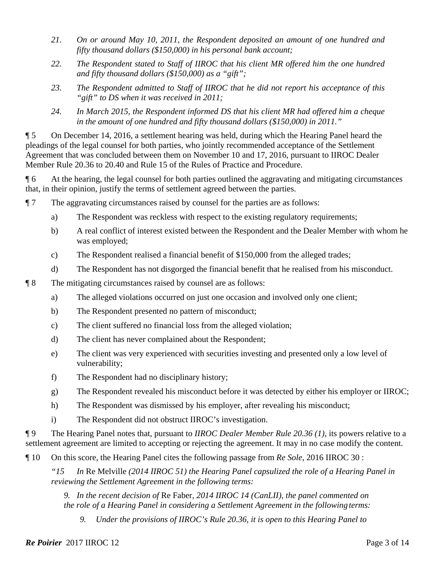- *21. On or around May 10, 2011, the Respondent deposited an amount of one hundred and fifty thousand dollars (\$150,000) in his personal bank account;*
- *22. The Respondent stated to Staff of IIROC that his client MR offered him the one hundred and fifty thousand dollars (\$150,000) as a "gift";*
- *23. The Respondent admitted to Staff of IIROC that he did not report his acceptance of this "gift" to DS when it was received in 2011;*
- *24. In March 2015, the Respondent informed DS that his client MR had offered him a cheque in the amount of one hundred and fifty thousand dollars (\$150,000) in 2011."*

¶ 5 On December 14, 2016, a settlement hearing was held, during which the Hearing Panel heard the pleadings of the legal counsel for both parties, who jointly recommended acceptance of the Settlement Agreement that was concluded between them on November 10 and 17, 2016, pursuant to IIROC Dealer Member Rule 20.36 to 20.40 and Rule 15 of the Rules of Practice and Procedure.

¶ 6 At the hearing, the legal counsel for both parties outlined the aggravating and mitigating circumstances that, in their opinion, justify the terms of settlement agreed between the parties.

- ¶ 7 The aggravating circumstances raised by counsel for the parties are as follows:
	- a) The Respondent was reckless with respect to the existing regulatory requirements;
	- b) A real conflict of interest existed between the Respondent and the Dealer Member with whom he was employed;
	- c) The Respondent realised a financial benefit of \$150,000 from the alleged trades;
	- d) The Respondent has not disgorged the financial benefit that he realised from his misconduct.
- ¶ 8 The mitigating circumstances raised by counsel are as follows:
	- a) The alleged violations occurred on just one occasion and involved only one client;
	- b) The Respondent presented no pattern of misconduct;
	- c) The client suffered no financial loss from the alleged violation;
	- d) The client has never complained about the Respondent;
	- e) The client was very experienced with securities investing and presented only a low level of vulnerability;
	- f) The Respondent had no disciplinary history;
	- g) The Respondent revealed his misconduct before it was detected by either his employer or IIROC;
	- h) The Respondent was dismissed by his employer, after revealing his misconduct;
	- i) The Respondent did not obstruct IIROC's investigation.

¶ 9 The Hearing Panel notes that, pursuant to *IIROC Dealer Member Rule 20.36 (1)*, its powers relative to a settlement agreement are limited to accepting or rejecting the agreement. It may in no case modify the content.

¶ 10 On this score, the Hearing Panel cites the following passage from *Re Sole*, 2016 IIROC 30 :

*"15 In* Re Melville *(2014 IIROC 51) the Hearing Panel capsulized the role of a Hearing Panel in reviewing the Settlement Agreement in the following terms:* 

*9. In the recent decision of* Re Faber*, 2014 IIROC 14 (CanLII), the panel commented on the role of a Hearing Panel in considering a Settlement Agreement in the following terms:* 

*9. Under the provisions of IIROC's Rule 20.36, it is open to this Hearing Panel to*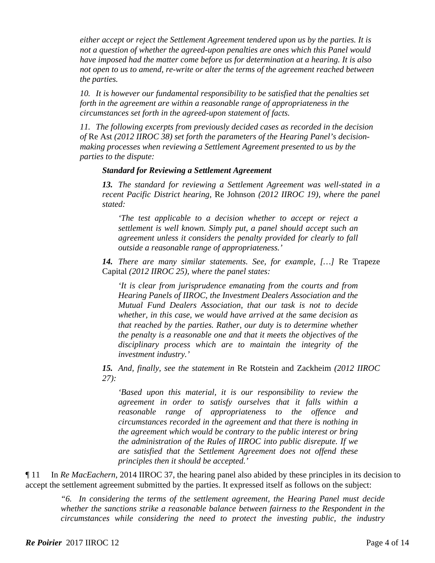*either accept or reject the Settlement Agreement tendered upon us by the parties. It is not a question of whether the agreed-upon penalties are ones which this Panel would have imposed had the matter come before us for determination at a hearing. It is also not open to us to amend, re-write or alter the terms of the agreement reached between the parties.* 

*10. It is however our fundamental responsibility to be satisfied that the penalties set forth in the agreement are within a reasonable range of appropriateness in the circumstances set forth in the agreed-upon statement of facts.* 

*11. The following excerpts from previously decided cases as recorded in the decision of* Re Ast *(2012 IIROC 38) set forth the parameters of the Hearing Panel's decisionmaking processes when reviewing a Settlement Agreement presented to us by the parties to the dispute:* 

#### *Standard for Reviewing a Settlement Agreement*

*13. The standard for reviewing a Settlement Agreement was well-stated in a recent Pacific District hearing,* Re Johnson *(2012 IIROC 19), where the panel stated:* 

*'The test applicable to a decision whether to accept or reject a settlement is well known. Simply put, a panel should accept such an agreement unless it considers the penalty provided for clearly to fall outside a reasonable range of appropriateness.'* 

*14. There are many similar statements. See, for example, […]* Re Trapeze Capital *(2012 IIROC 25), where the panel states:* 

*'It is clear from jurisprudence emanating from the courts and from Hearing Panels of IIROC, the Investment Dealers Association and the Mutual Fund Dealers Association, that our task is not to decide whether, in this case, we would have arrived at the same decision as that reached by the parties. Rather, our duty is to determine whether the penalty is a reasonable one and that it meets the objectives of the disciplinary process which are to maintain the integrity of the investment industry.'* 

*15. And, finally, see the statement in* Re Rotstein and Zackheim *(2012 IIROC 27):* 

*'Based upon this material, it is our responsibility to review the agreement in order to satisfy ourselves that it falls within a reasonable range of appropriateness to the offence and circumstances recorded in the agreement and that there is nothing in the agreement which would be contrary to the public interest or bring the administration of the Rules of IIROC into public disrepute. If we are satisfied that the Settlement Agreement does not offend these principles then it should be accepted.'* 

¶ 11 In *Re MacEachern*, 2014 IIROC 37, the hearing panel also abided by these principles in its decision to accept the settlement agreement submitted by the parties. It expressed itself as follows on the subject:

*"6. In considering the terms of the settlement agreement, the Hearing Panel must decide whether the sanctions strike a reasonable balance between fairness to the Respondent in the circumstances while considering the need to protect the investing public, the industry*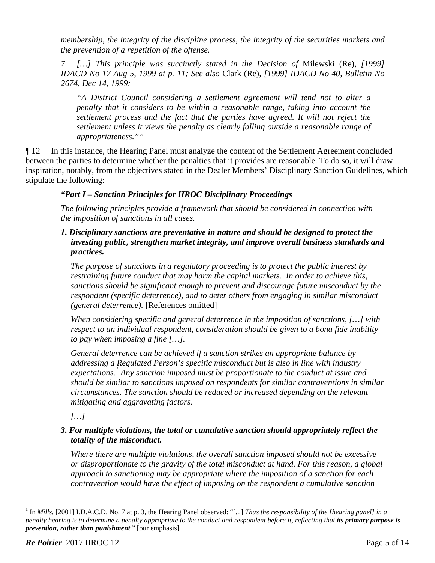*membership, the integrity of the discipline process, the integrity of the securities markets and the prevention of a repetition of the offense.* 

*7. […] This principle was succinctly stated in the Decision of* Milewski (Re), *[1999] IDACD No 17 Aug 5, 1999 at p. 11; See also* Clark (Re)*, [1999] IDACD No 40, Bulletin No 2674, Dec 14, 1999:* 

*"A District Council considering a settlement agreement will tend not to alter a penalty that it considers to be within a reasonable range, taking into account the settlement process and the fact that the parties have agreed. It will not reject the settlement unless it views the penalty as clearly falling outside a reasonable range of appropriateness.""* 

¶ 12 In this instance, the Hearing Panel must analyze the content of the Settlement Agreement concluded between the parties to determine whether the penalties that it provides are reasonable. To do so, it will draw inspiration, notably, from the objectives stated in the Dealer Members' Disciplinary Sanction Guidelines, which stipulate the following:

# *"Part I – Sanction Principles for IIROC Disciplinary Proceedings*

*The following principles provide a framework that should be considered in connection with the imposition of sanctions in all cases.* 

## *1. Disciplinary sanctions are preventative in nature and should be designed to protect the investing public, strengthen market integrity, and improve overall business standards and practices.*

 *The purpose of sanctions in a regulatory proceeding is to protect the public interest by restraining future conduct that may harm the capital markets. In order to achieve this, sanctions should be significant enough to prevent and discourage future misconduct by the respondent (specific deterrence), and to deter others from engaging in similar misconduct (general deterrence).* [References omitted]

 *When considering specific and general deterrence in the imposition of sanctions, […] with respect to an individual respondent, consideration should be given to a bona fide inability to pay when imposing a fine […].* 

 *General deterrence can be achieved if a sanction strikes an appropriate balance by addressing a Regulated Person's specific misconduct but is also in line with industry*  expectations.<sup>1</sup> Any sanction imposed must be proportionate to the conduct at issue and *should be similar to sanctions imposed on respondents for similar contraventions in similar circumstances. The sanction should be reduced or increased depending on the relevant mitigating and aggravating factors.* 

*[…]* 

# *3. For multiple violations, the total or cumulative sanction should appropriately reflect the totality of the misconduct.*

*Where there are multiple violations, the overall sanction imposed should not be excessive or disproportionate to the gravity of the total misconduct at hand. For this reason, a global approach to sanctioning may be appropriate where the imposition of a sanction for each contravention would have the effect of imposing on the respondent a cumulative sanction* 

1

<sup>&</sup>lt;sup>1</sup> In *Mills*, [2001] I.D.A.C.D. No. 7 at p. 3, the Hearing Panel observed: "[...] *Thus the responsibility of the [hearing panel] in a penalty hearing is to determine a penalty appropriate to the conduct and respondent before it, reflecting that its primary purpose is prevention, rather than punishment*." [our emphasis]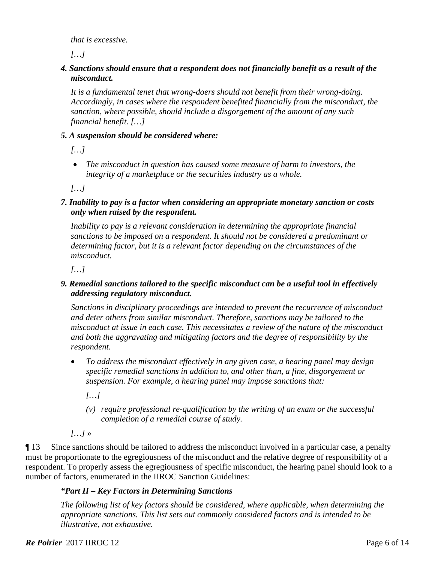*that is excessive.* 

*[…]* 

## *4. Sanctions should ensure that a respondent does not financially benefit as a result of the misconduct.*

*It is a fundamental tenet that wrong-doers should not benefit from their wrong-doing. Accordingly, in cases where the respondent benefited financially from the misconduct, the sanction, where possible, should include a disgorgement of the amount of any such financial benefit. […]* 

## *5. A suspension should be considered where:*

*[…]* 

 *The misconduct in question has caused some measure of harm to investors, the integrity of a marketplace or the securities industry as a whole.* 

*[…]*

*7. Inability to pay is a factor when considering an appropriate monetary sanction or costs only when raised by the respondent.* 

*Inability to pay is a relevant consideration in determining the appropriate financial sanctions to be imposed on a respondent. It should not be considered a predominant or determining factor, but it is a relevant factor depending on the circumstances of the misconduct.* 

*[…]* 

## *9. Remedial sanctions tailored to the specific misconduct can be a useful tool in effectively addressing regulatory misconduct.*

 *Sanctions in disciplinary proceedings are intended to prevent the recurrence of misconduct and deter others from similar misconduct. Therefore, sanctions may be tailored to the misconduct at issue in each case. This necessitates a review of the nature of the misconduct and both the aggravating and mitigating factors and the degree of responsibility by the respondent.* 

 *To address the misconduct effectively in any given case, a hearing panel may design specific remedial sanctions in addition to, and other than, a fine, disgorgement or suspension. For example, a hearing panel may impose sanctions that:* 

*[…]* 

*(v) require professional re-qualification by the writing of an exam or the successful completion of a remedial course of study.* 

*[…]* »

¶ 13 Since sanctions should be tailored to address the misconduct involved in a particular case, a penalty must be proportionate to the egregiousness of the misconduct and the relative degree of responsibility of a respondent. To properly assess the egregiousness of specific misconduct, the hearing panel should look to a number of factors, enumerated in the IIROC Sanction Guidelines:

# *"Part II – Key Factors in Determining Sanctions*

*The following list of key factors should be considered, where applicable, when determining the appropriate sanctions. This list sets out commonly considered factors and is intended to be illustrative, not exhaustive.*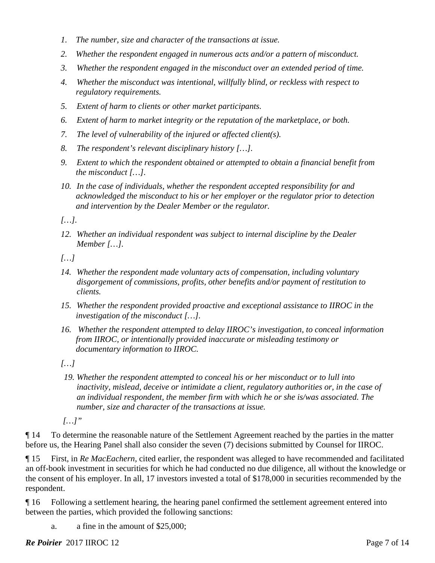- *1. The number, size and character of the transactions at issue.*
- *2. Whether the respondent engaged in numerous acts and/or a pattern of misconduct.*
- *3. Whether the respondent engaged in the misconduct over an extended period of time.*
- *4. Whether the misconduct was intentional, willfully blind, or reckless with respect to regulatory requirements.*
- *5. Extent of harm to clients or other market participants.*
- *6. Extent of harm to market integrity or the reputation of the marketplace, or both.*
- *7. The level of vulnerability of the injured or affected client(s).*
- *8. The respondent's relevant disciplinary history […].*
- *9. Extent to which the respondent obtained or attempted to obtain a financial benefit from the misconduct […].*
- *10. In the case of individuals, whether the respondent accepted responsibility for and acknowledged the misconduct to his or her employer or the regulator prior to detection and intervention by the Dealer Member or the regulator.*

*[…].* 

*12. Whether an individual respondent was subject to internal discipline by the Dealer Member […].* 

*[…]* 

- *14. Whether the respondent made voluntary acts of compensation, including voluntary disgorgement of commissions, profits, other benefits and/or payment of restitution to clients.*
- *15. Whether the respondent provided proactive and exceptional assistance to IIROC in the investigation of the misconduct […].*
- *16. Whether the respondent attempted to delay IIROC's investigation, to conceal information from IIROC, or intentionally provided inaccurate or misleading testimony or documentary information to IIROC.*

*[…]* 

*19. Whether the respondent attempted to conceal his or her misconduct or to lull into inactivity, mislead, deceive or intimidate a client, regulatory authorities or, in the case of an individual respondent, the member firm with which he or she is/was associated. The number, size and character of the transactions at issue.* 

 *[…]"* 

¶ 14 To determine the reasonable nature of the Settlement Agreement reached by the parties in the matter before us, the Hearing Panel shall also consider the seven (7) decisions submitted by Counsel for IIROC.

¶ 15 First, in *Re MacEachern,* cited earlier, the respondent was alleged to have recommended and facilitated an off-book investment in securities for which he had conducted no due diligence, all without the knowledge or the consent of his employer. In all, 17 investors invested a total of \$178,000 in securities recommended by the respondent.

¶ 16 Following a settlement hearing, the hearing panel confirmed the settlement agreement entered into between the parties, which provided the following sanctions:

a. a fine in the amount of \$25,000;

**Re Poirier** 2017 IIROC 12 Page 7 of 14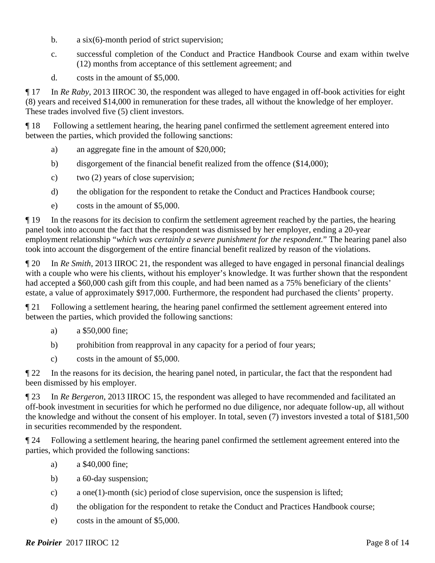- b. a six(6)-month period of strict supervision;
- c. successful completion of the Conduct and Practice Handbook Course and exam within twelve (12) months from acceptance of this settlement agreement; and
- d. costs in the amount of \$5,000.

¶ 17 In *Re Raby*, 2013 IIROC 30, the respondent was alleged to have engaged in off-book activities for eight (8) years and received \$14,000 in remuneration for these trades, all without the knowledge of her employer. These trades involved five (5) client investors.

¶ 18 Following a settlement hearing, the hearing panel confirmed the settlement agreement entered into between the parties, which provided the following sanctions:

- a) an aggregate fine in the amount of \$20,000;
- b) disgorgement of the financial benefit realized from the offence (\$14,000);
- c) two (2) years of close supervision;
- d) the obligation for the respondent to retake the Conduct and Practices Handbook course;
- e) costs in the amount of \$5,000.

¶ 19 In the reasons for its decision to confirm the settlement agreement reached by the parties, the hearing panel took into account the fact that the respondent was dismissed by her employer, ending a 20-year employment relationship "*which was certainly a severe punishment for the respondent.*" The hearing panel also took into account the disgorgement of the entire financial benefit realized by reason of the violations.

¶ 20 In *Re Smith*, 2013 IIROC 21, the respondent was alleged to have engaged in personal financial dealings with a couple who were his clients, without his employer's knowledge. It was further shown that the respondent had accepted a \$60,000 cash gift from this couple, and had been named as a 75% beneficiary of the clients' estate, a value of approximately \$917,000. Furthermore, the respondent had purchased the clients' property.

¶ 21 Following a settlement hearing, the hearing panel confirmed the settlement agreement entered into between the parties, which provided the following sanctions:

- a) a \$50,000 fine;
- b) prohibition from reapproval in any capacity for a period of four years;
- c) costs in the amount of \$5,000.

¶ 22 In the reasons for its decision, the hearing panel noted, in particular, the fact that the respondent had been dismissed by his employer.

¶ 23 In *Re Bergeron*, 2013 IIROC 15, the respondent was alleged to have recommended and facilitated an off-book investment in securities for which he performed no due diligence, nor adequate follow-up, all without the knowledge and without the consent of his employer. In total, seven (7) investors invested a total of \$181,500 in securities recommended by the respondent.

¶ 24 Following a settlement hearing, the hearing panel confirmed the settlement agreement entered into the parties, which provided the following sanctions:

- a) a \$40,000 fine;
- b) a 60-day suspension;
- c) a one(1)-month (sic) period of close supervision, once the suspension is lifted;
- d) the obligation for the respondent to retake the Conduct and Practices Handbook course;
- e) costs in the amount of \$5,000.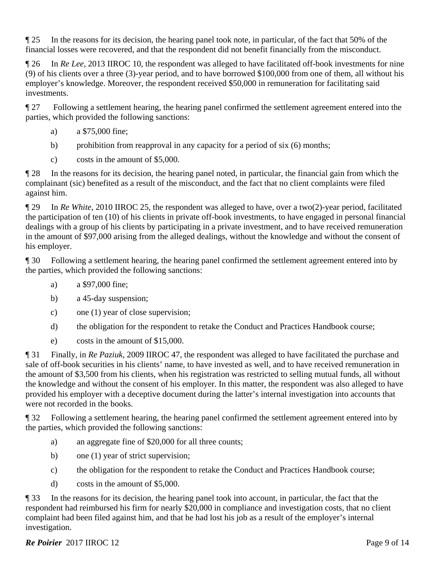¶ 25 In the reasons for its decision, the hearing panel took note, in particular, of the fact that 50% of the financial losses were recovered, and that the respondent did not benefit financially from the misconduct.

¶ 26 In *Re Lee*, 2013 IIROC 10, the respondent was alleged to have facilitated off-book investments for nine (9) of his clients over a three (3)-year period, and to have borrowed \$100,000 from one of them, all without his employer's knowledge. Moreover, the respondent received \$50,000 in remuneration for facilitating said investments.

¶ 27 Following a settlement hearing, the hearing panel confirmed the settlement agreement entered into the parties, which provided the following sanctions:

- a) a \$75,000 fine;
- b) prohibition from reapproval in any capacity for a period of six (6) months;
- c) costs in the amount of \$5,000.

¶ 28 In the reasons for its decision, the hearing panel noted, in particular, the financial gain from which the complainant (sic) benefited as a result of the misconduct, and the fact that no client complaints were filed against him.

¶ 29 In *Re White*, 2010 IIROC 25, the respondent was alleged to have, over a two(2)-year period, facilitated the participation of ten (10) of his clients in private off-book investments, to have engaged in personal financial dealings with a group of his clients by participating in a private investment, and to have received remuneration in the amount of \$97,000 arising from the alleged dealings, without the knowledge and without the consent of his employer.

¶ 30 Following a settlement hearing, the hearing panel confirmed the settlement agreement entered into by the parties, which provided the following sanctions:

- a) a \$97,000 fine;
- b) a 45-day suspension;
- c) one (1) year of close supervision;
- d) the obligation for the respondent to retake the Conduct and Practices Handbook course;
- e) costs in the amount of \$15,000.

¶ 31 Finally, in *Re Paziuk*, 2009 IIROC 47, the respondent was alleged to have facilitated the purchase and sale of off-book securities in his clients' name, to have invested as well, and to have received remuneration in the amount of \$3,500 from his clients, when his registration was restricted to selling mutual funds, all without the knowledge and without the consent of his employer. In this matter, the respondent was also alleged to have provided his employer with a deceptive document during the latter's internal investigation into accounts that were not recorded in the books.

¶ 32 Following a settlement hearing, the hearing panel confirmed the settlement agreement entered into by the parties, which provided the following sanctions:

- a) an aggregate fine of \$20,000 for all three counts;
- b) one (1) year of strict supervision;
- c) the obligation for the respondent to retake the Conduct and Practices Handbook course;
- d) costs in the amount of \$5,000.

¶ 33 In the reasons for its decision, the hearing panel took into account, in particular, the fact that the respondent had reimbursed his firm for nearly \$20,000 in compliance and investigation costs, that no client complaint had been filed against him, and that he had lost his job as a result of the employer's internal investigation.

# **Re Poirier** 2017 IIROC 12 Page 9 of 14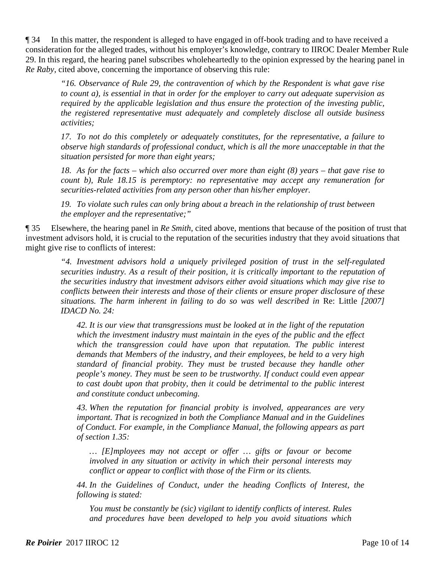¶ 34 In this matter, the respondent is alleged to have engaged in off-book trading and to have received a consideration for the alleged trades, without his employer's knowledge, contrary to IIROC Dealer Member Rule 29. In this regard, the hearing panel subscribes wholeheartedly to the opinion expressed by the hearing panel in *Re Raby*, cited above, concerning the importance of observing this rule:

*"16. Observance of Rule 29, the contravention of which by the Respondent is what gave rise to count a), is essential in that in order for the employer to carry out adequate supervision as required by the applicable legislation and thus ensure the protection of the investing public, the registered representative must adequately and completely disclose all outside business activities;*

*17. To not do this completely or adequately constitutes, for the representative, a failure to observe high standards of professional conduct, which is all the more unacceptable in that the situation persisted for more than eight years;* 

*18. As for the facts – which also occurred over more than eight (8) years – that gave rise to count b), Rule 18.15 is peremptory: no representative may accept any remuneration for securities-related activities from any person other than his/her employer.* 

*19. To violate such rules can only bring about a breach in the relationship of trust between the employer and the representative;"* 

¶ 35 Elsewhere, the hearing panel in *Re Smith*, cited above, mentions that because of the position of trust that investment advisors hold, it is crucial to the reputation of the securities industry that they avoid situations that might give rise to conflicts of interest:

*"4. Investment advisors hold a uniquely privileged position of trust in the self-regulated securities industry. As a result of their position, it is critically important to the reputation of the securities industry that investment advisors either avoid situations which may give rise to conflicts between their interests and those of their clients or ensure proper disclosure of these situations. The harm inherent in failing to do so was well described in* Re: Little *[2007] IDACD No. 24:* 

*42. It is our view that transgressions must be looked at in the light of the reputation which the investment industry must maintain in the eyes of the public and the effect*  which the transgression could have upon that reputation. The public interest *demands that Members of the industry, and their employees, be held to a very high standard of financial probity. They must be trusted because they handle other people's money. They must be seen to be trustworthy. If conduct could even appear to cast doubt upon that probity, then it could be detrimental to the public interest and constitute conduct unbecoming.* 

*43. When the reputation for financial probity is involved, appearances are very important. That is recognized in both the Compliance Manual and in the Guidelines of Conduct. For example, in the Compliance Manual, the following appears as part of section 1.35:* 

*… [E]mployees may not accept or offer … gifts or favour or become involved in any situation or activity in which their personal interests may conflict or appear to conflict with those of the Firm or its clients.* 

*44. In the Guidelines of Conduct, under the heading Conflicts of Interest, the following is stated:* 

*You must be constantly be (sic) vigilant to identify conflicts of interest. Rules and procedures have been developed to help you avoid situations which*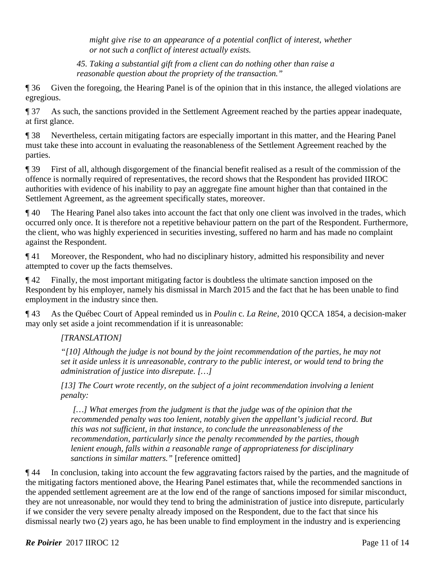*might give rise to an appearance of a potential conflict of interest, whether or not such a conflict of interest actually exists.* 

*45. Taking a substantial gift from a client can do nothing other than raise a reasonable question about the propriety of the transaction."* 

¶ 36 Given the foregoing, the Hearing Panel is of the opinion that in this instance, the alleged violations are egregious.

¶ 37 As such, the sanctions provided in the Settlement Agreement reached by the parties appear inadequate, at first glance.

¶ 38 Nevertheless, certain mitigating factors are especially important in this matter, and the Hearing Panel must take these into account in evaluating the reasonableness of the Settlement Agreement reached by the parties.

¶ 39 First of all, although disgorgement of the financial benefit realised as a result of the commission of the offence is normally required of representatives, the record shows that the Respondent has provided IIROC authorities with evidence of his inability to pay an aggregate fine amount higher than that contained in the Settlement Agreement, as the agreement specifically states, moreover.

¶ 40 The Hearing Panel also takes into account the fact that only one client was involved in the trades, which occurred only once. It is therefore not a repetitive behaviour pattern on the part of the Respondent. Furthermore, the client, who was highly experienced in securities investing, suffered no harm and has made no complaint against the Respondent.

¶ 41 Moreover, the Respondent, who had no disciplinary history, admitted his responsibility and never attempted to cover up the facts themselves.

¶ 42 Finally, the most important mitigating factor is doubtless the ultimate sanction imposed on the Respondent by his employer, namely his dismissal in March 2015 and the fact that he has been unable to find employment in the industry since then.

¶ 43 As the Québec Court of Appeal reminded us in *Poulin* c. *La Reine*, 2010 QCCA 1854, a decision-maker may only set aside a joint recommendation if it is unreasonable:

# *[TRANSLATION]*

*"[10] Although the judge is not bound by the joint recommendation of the parties, he may not set it aside unless it is unreasonable, contrary to the public interest, or would tend to bring the administration of justice into disrepute. […]* 

*[13] The Court wrote recently, on the subject of a joint recommendation involving a lenient penalty:* 

 *[…] What emerges from the judgment is that the judge was of the opinion that the recommended penalty was too lenient, notably given the appellant's judicial record. But this was not sufficient, in that instance, to conclude the unreasonableness of the recommendation, particularly since the penalty recommended by the parties, though lenient enough, falls within a reasonable range of appropriateness for disciplinary sanctions in similar matters."* [reference omitted]

¶ 44 In conclusion, taking into account the few aggravating factors raised by the parties, and the magnitude of the mitigating factors mentioned above, the Hearing Panel estimates that, while the recommended sanctions in the appended settlement agreement are at the low end of the range of sanctions imposed for similar misconduct, they are not unreasonable, nor would they tend to bring the administration of justice into disrepute, particularly if we consider the very severe penalty already imposed on the Respondent, due to the fact that since his dismissal nearly two (2) years ago, he has been unable to find employment in the industry and is experiencing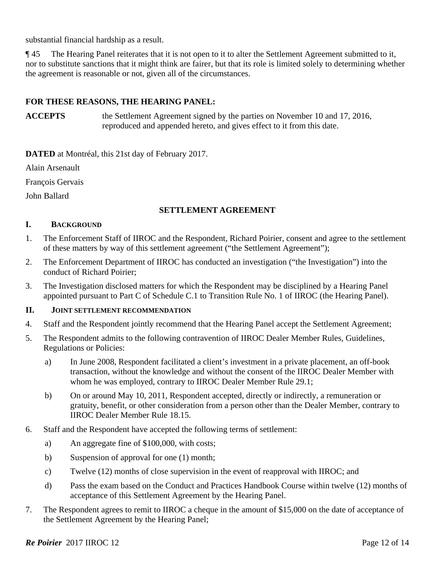substantial financial hardship as a result.

¶ 45 The Hearing Panel reiterates that it is not open to it to alter the Settlement Agreement submitted to it, nor to substitute sanctions that it might think are fairer, but that its role is limited solely to determining whether the agreement is reasonable or not, given all of the circumstances.

## **FOR THESE REASONS, THE HEARING PANEL:**

**ACCEPTS** the Settlement Agreement signed by the parties on November 10 and 17, 2016, reproduced and appended hereto, and gives effect to it from this date.

**DATED** at Montréal, this 21st day of February 2017.

Alain Arsenault

François Gervais

John Ballard

### **SETTLEMENT AGREEMENT**

### **I. BACKGROUND**

- 1. The Enforcement Staff of IIROC and the Respondent, Richard Poirier, consent and agree to the settlement of these matters by way of this settlement agreement ("the Settlement Agreement");
- 2. The Enforcement Department of IIROC has conducted an investigation ("the Investigation") into the conduct of Richard Poirier;
- 3. The Investigation disclosed matters for which the Respondent may be disciplined by a Hearing Panel appointed pursuant to Part C of Schedule C.1 to Transition Rule No. 1 of IIROC (the Hearing Panel).

#### **II. JOINT SETTLEMENT RECOMMENDATION**

- 4. Staff and the Respondent jointly recommend that the Hearing Panel accept the Settlement Agreement;
- 5. The Respondent admits to the following contravention of IIROC Dealer Member Rules, Guidelines, Regulations or Policies:
	- a) In June 2008, Respondent facilitated a client's investment in a private placement, an off-book transaction, without the knowledge and without the consent of the IIROC Dealer Member with whom he was employed, contrary to IIROC Dealer Member Rule 29.1;
	- b) On or around May 10, 2011, Respondent accepted, directly or indirectly, a remuneration or gratuity, benefit, or other consideration from a person other than the Dealer Member, contrary to IIROC Dealer Member Rule 18.15.
- 6. Staff and the Respondent have accepted the following terms of settlement:
	- a) An aggregate fine of \$100,000, with costs;
	- b) Suspension of approval for one (1) month;
	- c) Twelve (12) months of close supervision in the event of reapproval with IIROC; and
	- d) Pass the exam based on the Conduct and Practices Handbook Course within twelve (12) months of acceptance of this Settlement Agreement by the Hearing Panel.
- 7. The Respondent agrees to remit to IIROC a cheque in the amount of \$15,000 on the date of acceptance of the Settlement Agreement by the Hearing Panel;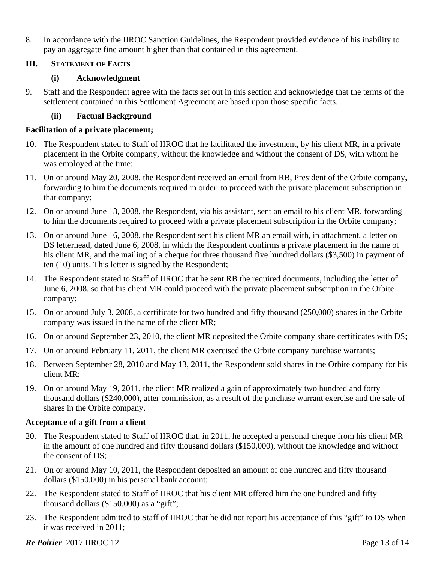8. In accordance with the IIROC Sanction Guidelines, the Respondent provided evidence of his inability to pay an aggregate fine amount higher than that contained in this agreement.

## **III. STATEMENT OF FACTS**

## **(i) Acknowledgment**

9. Staff and the Respondent agree with the facts set out in this section and acknowledge that the terms of the settlement contained in this Settlement Agreement are based upon those specific facts.

## **(ii) Factual Background**

## **Facilitation of a private placement;**

- 10. The Respondent stated to Staff of IIROC that he facilitated the investment, by his client MR, in a private placement in the Orbite company, without the knowledge and without the consent of DS, with whom he was employed at the time;
- 11. On or around May 20, 2008, the Respondent received an email from RB, President of the Orbite company, forwarding to him the documents required in order to proceed with the private placement subscription in that company;
- 12. On or around June 13, 2008, the Respondent, via his assistant, sent an email to his client MR, forwarding to him the documents required to proceed with a private placement subscription in the Orbite company;
- 13. On or around June 16, 2008, the Respondent sent his client MR an email with, in attachment, a letter on DS letterhead, dated June 6, 2008, in which the Respondent confirms a private placement in the name of his client MR, and the mailing of a cheque for three thousand five hundred dollars (\$3,500) in payment of ten (10) units. This letter is signed by the Respondent;
- 14. The Respondent stated to Staff of IIROC that he sent RB the required documents, including the letter of June 6, 2008, so that his client MR could proceed with the private placement subscription in the Orbite company;
- 15. On or around July 3, 2008, a certificate for two hundred and fifty thousand (250,000) shares in the Orbite company was issued in the name of the client MR;
- 16. On or around September 23, 2010, the client MR deposited the Orbite company share certificates with DS;
- 17. On or around February 11, 2011, the client MR exercised the Orbite company purchase warrants;
- 18. Between September 28, 2010 and May 13, 2011, the Respondent sold shares in the Orbite company for his client MR;
- 19. On or around May 19, 2011, the client MR realized a gain of approximately two hundred and forty thousand dollars (\$240,000), after commission, as a result of the purchase warrant exercise and the sale of shares in the Orbite company.

# **Acceptance of a gift from a client**

- 20. The Respondent stated to Staff of IIROC that, in 2011, he accepted a personal cheque from his client MR in the amount of one hundred and fifty thousand dollars (\$150,000), without the knowledge and without the consent of DS;
- 21. On or around May 10, 2011, the Respondent deposited an amount of one hundred and fifty thousand dollars (\$150,000) in his personal bank account;
- 22. The Respondent stated to Staff of IIROC that his client MR offered him the one hundred and fifty thousand dollars (\$150,000) as a "gift";
- 23. The Respondent admitted to Staff of IIROC that he did not report his acceptance of this "gift" to DS when it was received in 2011;

# **Re Poirier** 2017 IIROC 12 **Page 13 of 14** Page 13 of 14